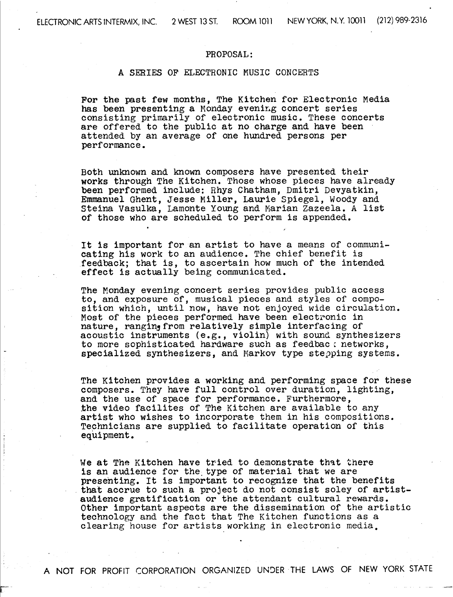## PROPOSAL

## A SERIES OF ELECTRONIC MUSIC CONCERTS

For the past few months, The Kitchen for Electronic Media has been presenting a Monday evening concert series consisting primarily of electronic music . These concerts are offered to the public at no charge and have been attended by an average of one hundred persons per performance .

Both unknown and known composers have presented their works through The Kitchen. Those whose pieces have already been performed include: Rhys Chatham, Dmitri Devyatkin, Emmanuel Ghent, Jesse Miller, Laurie Spiegel, Woody and Steina Vasulka, Lamonte Young and Marian Zazeela . A list of those who are scheduled to perform is appended .

It is important for an artist to have a means of communicating his work to an audience. The chief benefit is feedback; that is, to ascertain how much of the intended effect is actually being communicated .

The Monday evening concert series provides public access to, and exposure of, musical pieces and styles of composition which, until now, have not enjoyed wide circulation. Most of the pieces performed have been electronic in nature, ranging from relatively simple interfacing of acoustic instruments (e.g., violin) with sound synthesizers to more sophisticated hardware such as feedbac; networks, specialized synthesizers, and Markov type stepping systems .

The Kitchen provides a working and performing space for these composers. They have full control over duration, lighting, and the use of space for performance. Furthermore, the video facilites of The Kitchen are available to any artist who wishes to incorporate them in his compositions . Technicians are supplied to facilitate operation of this equipment .

We at The Kitchen have tried to demonstrate that there is an audience for the type of material that we are presenting. It is important to recognize that the benefits that accrue to such a project do not consist soley of artistaudience gratification or the attendant cultural rewards . Other important aspects are the dissemination of the artistic technology and the fact that The Kitchen functions as a clearing house for artists working in electronic media,

A NOT FOR PROFIT CORPORATION ORGANIZED UNDER THE LAWS OF NEW YORK STATE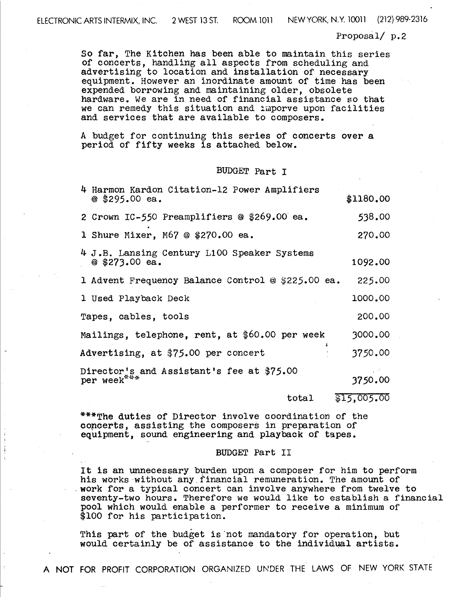NEW YORK, N .Y <sup>10011</sup> (212) 989-2316

Proposal/ $p.2$ 

So far, The Kitchen has been able to maintain this series of concerts, handling all aspects from scheduling and advertising to location and installation of necessary equipment. However an inordinate amount of time has been expended borrowing and maintaining older, obsolete hardware. We are in need of financial assistance so that we can remedy this situation and imporve upon facilities and services that are available to composers .

A budget for continuing this series of concerts over a period of fifty weeks is attached below.

### BUDGET Part <sup>I</sup>

| 4 Harmon Kardon Citation-12 Power Amplifiers<br>$@$ \$295.00 ea. | \$1180.00   |
|------------------------------------------------------------------|-------------|
| 2 Crown IC-550 Preamplifiers @ \$269.00 ea.                      | 538.00      |
| 1 Shure Mixer, M67 @ $$270.00$ ea.                               | 270.00      |
| 4 J.B. Lansing Century L100 Speaker Systems<br>$@$ \$273.00 ea.  | 1092.00     |
| 1 Advent Frequency Balance Control @ \$225.00 ea.                | 225.00      |
| 1 Used Playback Deck                                             | 1000.00     |
| Tapes, cables, tools                                             | 200.00      |
| Mailings, telephone, rent, at \$60.00 per week                   | 3000.00     |
| Advertising, at \$75.00 per concert                              | 3750.00     |
| Director's and Assistant's fee at \$75.00<br>per week***         | 3750.00     |
| total                                                            | \$15,005.00 |

\*\*\*The duties of Director involve coordination of the concerts, assisting the composers in preparation of equipment, sound engineering and playback of tapes .

#### BUDGET Part II

It is an unnecessary burden upon a composer for him to perform his works without any financial remuneration. The amount of work for a typical concert can involve anywhere from twelve to seventy-two hours. Therefore we would like to establish a financial pool which would enable a performer to receive a minimum of \$100 for his participation.

This part of the budget is'not mandatory for operation, but would certainly be of assistance to the individual artists .

A NOT FOR PROFIT CORPORATION ORGANIZED UNDER THE LAWS OF NEW YORK STATE